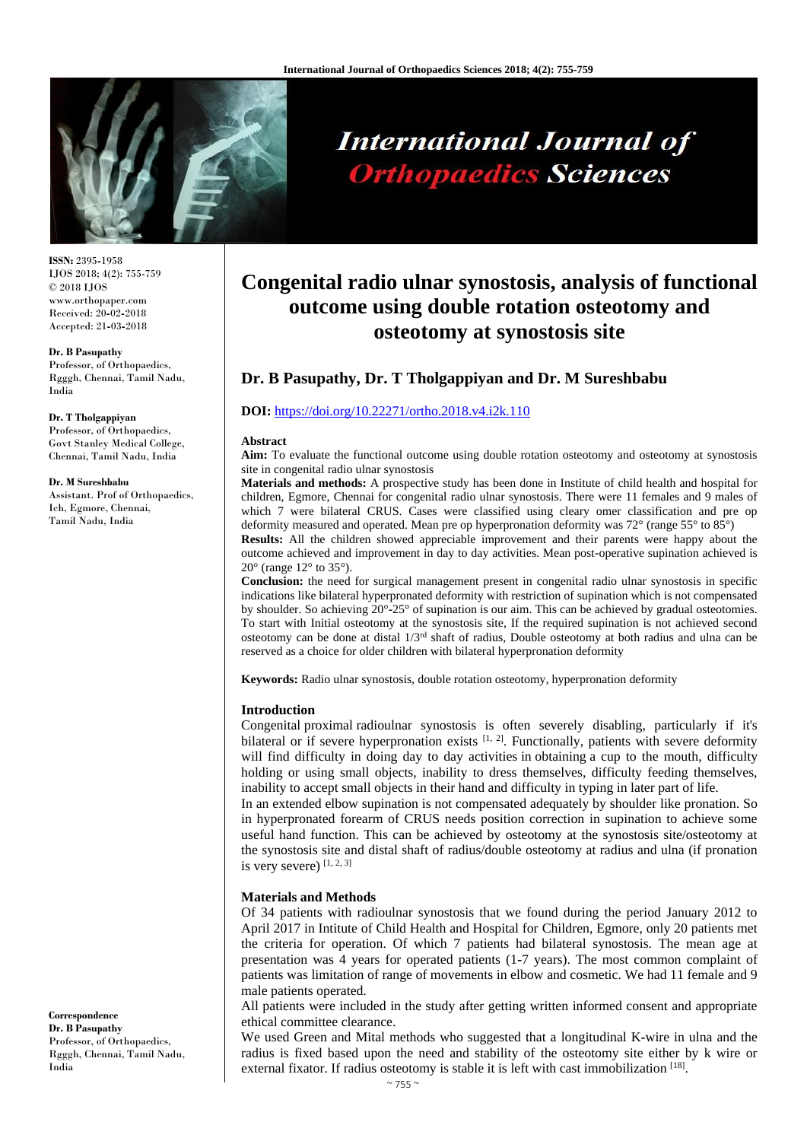

# **International Journal of Orthopaedics Sciences**

**ISSN:** 2395**-**1958 IJOS 2018; 4(2): 755-759 © 2018 IJOS www.orthopaper.com Received: 20**-**02**-**2018 Accepted: 21**-**03**-**2018

#### **Dr. B Pasupathy**

Professor, of Orthopaedics, Rgggh, Chennai, Tamil Nadu, India

**Dr. T Tholgappiyan** Professor, of Orthopaedics, Govt Stanley Medical College, Chennai, Tamil Nadu, India

#### **Dr. M Sureshbabu**

Assistant. Prof of Orthopaedics, Ich, Egmore, Chennai, Tamil Nadu, India

**Congenital radio ulnar synostosis, analysis of functional outcome using double rotation osteotomy and osteotomy at synostosis site**

# **Dr. B Pasupathy, Dr. T Tholgappiyan and Dr. M Sureshbabu**

## **DOI:** <https://doi.org/10.22271/ortho.2018.v4.i2k.110>

#### **Abstract**

**Aim:** To evaluate the functional outcome using double rotation osteotomy and osteotomy at synostosis site in congenital radio ulnar synostosis

**Materials and methods:** A prospective study has been done in Institute of child health and hospital for children, Egmore, Chennai for congenital radio ulnar synostosis. There were 11 females and 9 males of which 7 were bilateral CRUS. Cases were classified using cleary omer classification and pre op deformity measured and operated. Mean pre op hyperpronation deformity was 72° (range 55° to 85°)

**Results:** All the children showed appreciable improvement and their parents were happy about the outcome achieved and improvement in day to day activities. Mean post**-**operative supination achieved is  $20^{\circ}$  (range  $12^{\circ}$  to  $35^{\circ}$ ).

**Conclusion:** the need for surgical management present in congenital radio ulnar synostosis in specific indications like bilateral hyperpronated deformity with restriction of supination which is not compensated by shoulder. So achieving 20°**-**25° of supination is our aim. This can be achieved by gradual osteotomies. To start with Initial osteotomy at the synostosis site, If the required supination is not achieved second osteotomy can be done at distal 1/3rd shaft of radius, Double osteotomy at both radius and ulna can be reserved as a choice for older children with bilateral hyperpronation deformity

**Keywords:** Radio ulnar synostosis, double rotation osteotomy, hyperpronation deformity

## **Introduction**

Congenital proximal radioulnar synostosis is often severely disabling, particularly if it's bilateral or if severe hyperpronation exists  $[1, 2]$ . Functionally, patients with severe deformity will find difficulty in doing day to day activities in obtaining a cup to the mouth, difficulty holding or using small objects, inability to dress themselves, difficulty feeding themselves, inability to accept small objects in their hand and difficulty in typing in later part of life.

In an extended elbow supination is not compensated adequately by shoulder like pronation. So in hyperpronated forearm of CRUS needs position correction in supination to achieve some useful hand function. This can be achieved by osteotomy at the synostosis site/osteotomy at the synostosis site and distal shaft of radius/double osteotomy at radius and ulna (if pronation is very severe) [1, 2, 3]

## **Materials and Methods**

Of 34 patients with radioulnar synostosis that we found during the period January 2012 to April 2017 in Intitute of Child Health and Hospital for Children, Egmore, only 20 patients met the criteria for operation. Of which 7 patients had bilateral synostosis. The mean age at presentation was 4 years for operated patients (1**-**7 years). The most common complaint of patients was limitation of range of movements in elbow and cosmetic. We had 11 female and 9 male patients operated.

All patients were included in the study after getting written informed consent and appropriate ethical committee clearance.

We used Green and Mital methods who suggested that a longitudinal K**-**wire in ulna and the radius is fixed based upon the need and stability of the osteotomy site either by k wire or external fixator. If radius osteotomy is stable it is left with cast immobilization [18].

**Correspondence Dr. B Pasupathy** Professor, of Orthopaedics, Rgggh, Chennai, Tamil Nadu, India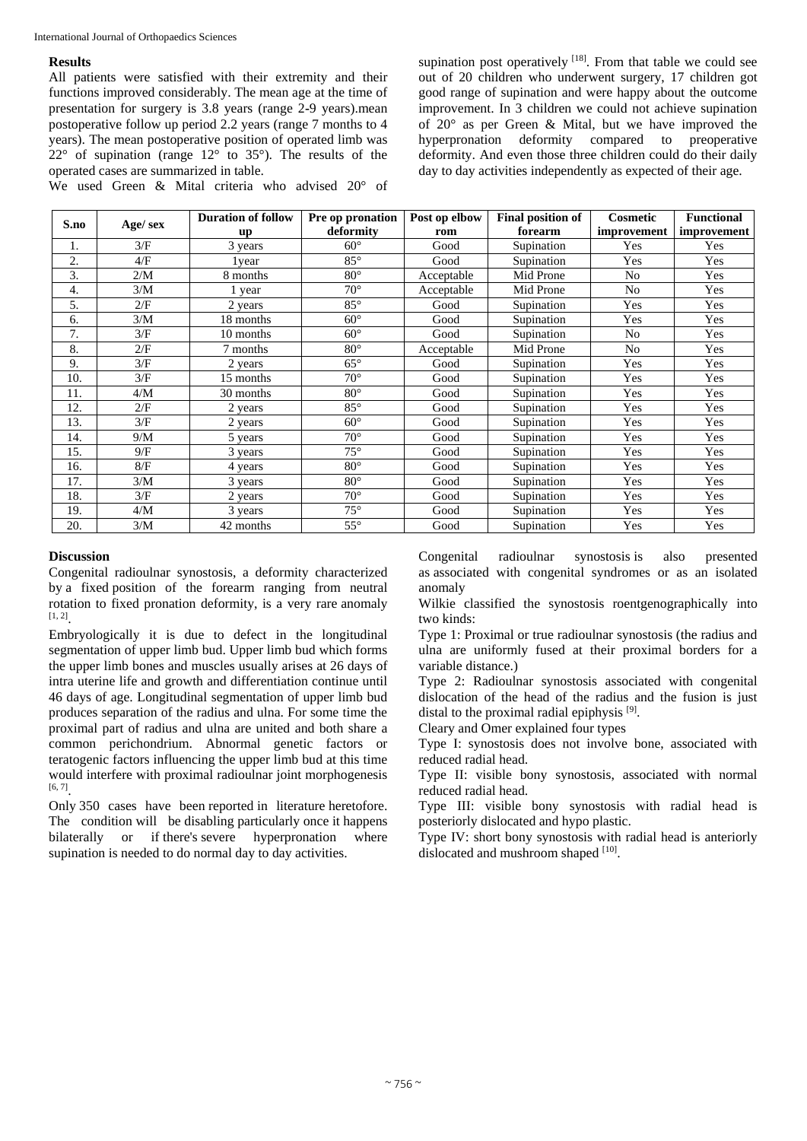#### International Journal of Orthopaedics Sciences

#### **Results**

All patients were satisfied with their extremity and their functions improved considerably. The mean age at the time of presentation for surgery is 3.8 years (range 2**-**9 years).mean postoperative follow up period 2.2 years (range 7 months to 4 years). The mean postoperative position of operated limb was  $22^{\circ}$  of supination (range  $12^{\circ}$  to 35°). The results of the operated cases are summarized in table.

We used Green & Mital criteria who advised 20° of

supination post operatively  $[18]$ . From that table we could see out of 20 children who underwent surgery, 17 children got good range of supination and were happy about the outcome improvement. In 3 children we could not achieve supination of 20° as per Green & Mital, but we have improved the hyperpronation deformity compared to preoperative deformity. And even those three children could do their daily day to day activities independently as expected of their age.

| S.no | Age/ sex | <b>Duration of follow</b> | Pre op pronation | Post op elbow | <b>Final position of</b> | Cosmetic       | <b>Functional</b> |
|------|----------|---------------------------|------------------|---------------|--------------------------|----------------|-------------------|
|      |          | up                        | deformity        | rom           | forearm                  | improvement    | improvement       |
| 1.   | 3/F      | 3 years                   | $60^\circ$       | Good          | Supination               | Yes            | Yes               |
| 2.   | 4/F      | 1 year                    | $85^\circ$       | Good          | Supination               | Yes            | Yes               |
| 3.   | 2/M      | 8 months                  | $80^\circ$       | Acceptable    | Mid Prone                | No             | Yes               |
| 4.   | 3/M      | 1 year                    | $70^{\circ}$     | Acceptable    | Mid Prone                | No             | Yes               |
| 5.   | 2/F      | 2 years                   | $85^\circ$       | Good          | Supination               | Yes            | Yes               |
| 6.   | 3/M      | 18 months                 | $60^\circ$       | Good          | Supination               | Yes            | Yes               |
| 7.   | 3/F      | 10 months                 | $60^\circ$       | Good          | Supination               | N <sub>0</sub> | Yes               |
| 8.   | 2/F      | 7 months                  | $80^\circ$       | Acceptable    | Mid Prone                | No             | Yes               |
| 9.   | 3/F      | 2 years                   | $65^{\circ}$     | Good          | Supination               | Yes            | Yes               |
| 10.  | 3/F      | 15 months                 | $70^{\circ}$     | Good          | Supination               | Yes            | Yes               |
| 11.  | 4/M      | 30 months                 | $80^{\circ}$     | Good          | Supination               | Yes            | Yes               |
| 12.  | 2/F      | 2 years                   | $85^\circ$       | Good          | Supination               | Yes            | Yes               |
| 13.  | 3/F      | 2 years                   | $60^\circ$       | Good          | Supination               | Yes            | Yes               |
| 14.  | 9/M      | 5 years                   | $70^{\circ}$     | Good          | Supination               | Yes            | Yes               |
| 15.  | 9/F      | 3 years                   | $75^\circ$       | Good          | Supination               | Yes            | Yes               |
| 16.  | 8/F      | 4 years                   | $80^\circ$       | Good          | Supination               | Yes            | Yes               |
| 17.  | 3/M      | 3 years                   | $80^\circ$       | Good          | Supination               | Yes            | Yes               |
| 18.  | 3/F      | 2 years                   | $70^{\circ}$     | Good          | Supination               | Yes            | Yes               |
| 19.  | 4/M      | 3 years                   | $75^{\circ}$     | Good          | Supination               | Yes            | Yes               |
| 20.  | 3/M      | 42 months                 | $55^{\circ}$     | Good          | Supination               | Yes            | Yes               |

# **Discussion**

Congenital radioulnar synostosis, a deformity characterized by a fixed position of the forearm ranging from neutral rotation to fixed pronation deformity, is a very rare anomaly  $[1, 2]$ <sub>.</sub>

Embryologically it is due to defect in the longitudinal segmentation of upper limb bud. Upper limb bud which forms the upper limb bones and muscles usually arises at 26 days of intra uterine life and growth and differentiation continue until 46 days of age. Longitudinal segmentation of upper limb bud produces separation of the radius and ulna. For some time the proximal part of radius and ulna are united and both share a common perichondrium. Abnormal genetic factors or teratogenic factors influencing the upper limb bud at this time would interfere with proximal radioulnar joint morphogenesis  $[6, 7]$ <sub>.</sub>

Only 350 cases have been reported in literature heretofore. The condition will be disabling particularly once it happens bilaterally or if there's severe hyperpronation where supination is needed to do normal day to day activities.

Congenital radioulnar synostosis is also presented as associated with congenital syndromes or as an isolated anomaly

Wilkie classified the synostosis roentgenographically into two kinds:

Type 1: Proximal or true radioulnar synostosis (the radius and ulna are uniformly fused at their proximal borders for a variable distance.)

Type 2: Radioulnar synostosis associated with congenital dislocation of the head of the radius and the fusion is just distal to the proximal radial epiphysis<sup>[9]</sup>.

Cleary and Omer explained four types

Type I: synostosis does not involve bone, associated with reduced radial head.

Type II: visible bony synostosis, associated with normal reduced radial head.

Type III: visible bony synostosis with radial head is posteriorly dislocated and hypo plastic.

Type IV: short bony synostosis with radial head is anteriorly dislocated and mushroom shaped [10].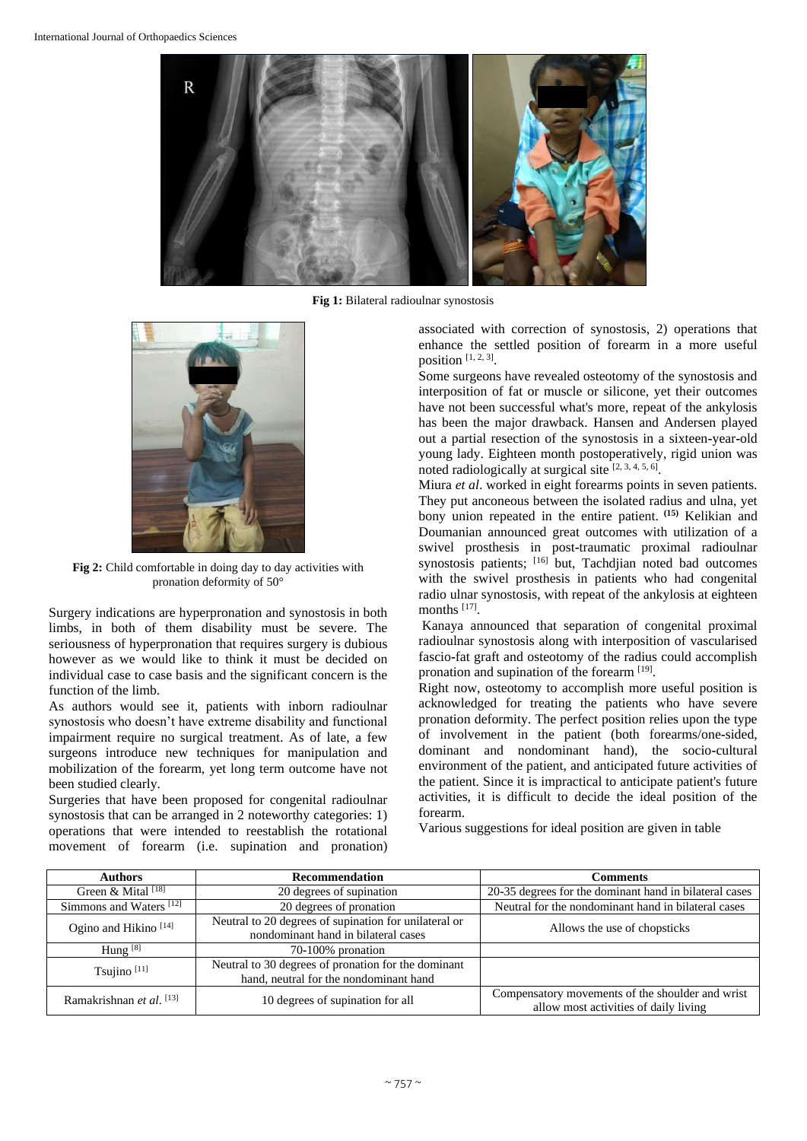

**Fig 1:** Bilateral radioulnar synostosis



**Fig 2:** Child comfortable in doing day to day activities with pronation deformity of 50°

Surgery indications are hyperpronation and synostosis in both limbs, in both of them disability must be severe. The seriousness of hyperpronation that requires surgery is dubious however as we would like to think it must be decided on individual case to case basis and the significant concern is the function of the limb.

As authors would see it, patients with inborn radioulnar synostosis who doesn't have extreme disability and functional impairment require no surgical treatment. As of late, a few surgeons introduce new techniques for manipulation and mobilization of the forearm, yet long term outcome have not been studied clearly.

Surgeries that have been proposed for congenital radioulnar synostosis that can be arranged in 2 noteworthy categories: 1) operations that were intended to reestablish the rotational movement of forearm (i.e. supination and pronation)

associated with correction of synostosis, 2) operations that enhance the settled position of forearm in a more useful position  $[1, 2, 3]$ .

Some surgeons have revealed osteotomy of the synostosis and interposition of fat or muscle or silicone, yet their outcomes have not been successful what's more, repeat of the ankylosis has been the major drawback. Hansen and Andersen played out a partial resection of the synostosis in a sixteen**-**year**-**old young lady. Eighteen month postoperatively, rigid union was noted radiologically at surgical site  $[2, 3, 4, 5, 6]$ .

Miura *et al*. worked in eight forearms points in seven patients. They put anconeous between the isolated radius and ulna, yet bony union repeated in the entire patient. **(15)** Kelikian and Doumanian announced great outcomes with utilization of a swivel prosthesis in post**-**traumatic proximal radioulnar synostosis patients; [16] but, Tachdjian noted bad outcomes with the swivel prosthesis in patients who had congenital radio ulnar synostosis, with repeat of the ankylosis at eighteen months [17].

Kanaya announced that separation of congenital proximal radioulnar synostosis along with interposition of vascularised fascio**-**fat graft and osteotomy of the radius could accomplish pronation and supination of the forearm [19].

Right now, osteotomy to accomplish more useful position is acknowledged for treating the patients who have severe pronation deformity. The perfect position relies upon the type of involvement in the patient (both forearms/one**-**sided, dominant and nondominant hand), the socio**-**cultural environment of the patient, and anticipated future activities of the patient. Since it is impractical to anticipate patient's future activities, it is difficult to decide the ideal position of the forearm.

Various suggestions for ideal position are given in table

| <b>Authors</b>                      | Recommendation                                                                                | Comments                                                                                  |  |  |
|-------------------------------------|-----------------------------------------------------------------------------------------------|-------------------------------------------------------------------------------------------|--|--|
| Green & Mital [18]                  | 20 degrees of supination                                                                      | 20-35 degrees for the dominant hand in bilateral cases                                    |  |  |
| Simmons and Waters $\frac{1}{2}$    | 20 degrees of pronation                                                                       | Neutral for the nondominant hand in bilateral cases                                       |  |  |
| Ogino and Hikino <sup>[14]</sup>    | Neutral to 20 degrees of supination for unilateral or<br>nondominant hand in bilateral cases  | Allows the use of chopsticks                                                              |  |  |
| Hung $[8]$                          | 70-100% pronation                                                                             |                                                                                           |  |  |
| Tsujino $[11]$                      | Neutral to 30 degrees of pronation for the dominant<br>hand, neutral for the nondominant hand |                                                                                           |  |  |
| Ramakrishnan et al. <sup>[13]</sup> | 10 degrees of supination for all                                                              | Compensatory movements of the shoulder and wrist<br>allow most activities of daily living |  |  |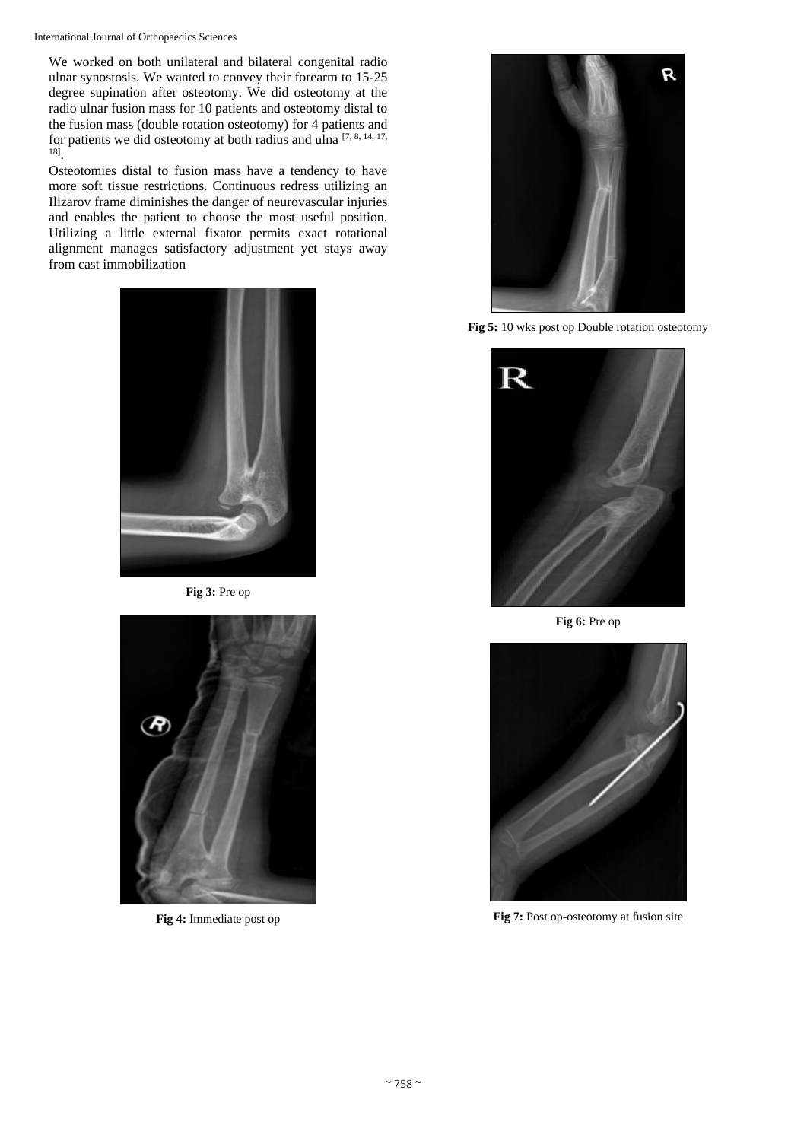International Journal of Orthopaedics Sciences

We worked on both unilateral and bilateral congenital radio ulnar synostosis. We wanted to convey their forearm to 15**-**25 degree supination after osteotomy. We did osteotomy at the radio ulnar fusion mass for 10 patients and osteotomy distal to the fusion mass (double rotation osteotomy) for 4 patients and for patients we did osteotomy at both radius and ulna [7, 8, 14, 17, 18] .

Osteotomies distal to fusion mass have a tendency to have more soft tissue restrictions. Continuous redress utilizing an Ilizarov frame diminishes the danger of neurovascular injuries and enables the patient to choose the most useful position. Utilizing a little external fixator permits exact rotational alignment manages satisfactory adjustment yet stays away from cast immobilization



**Fig 3:** Pre op



**Fig 4:** Immediate post op



**Fig 5:** 10 wks post op Double rotation osteotomy



**Fig 6:** Pre op



**Fig 7:** Post op**-**osteotomy at fusion site